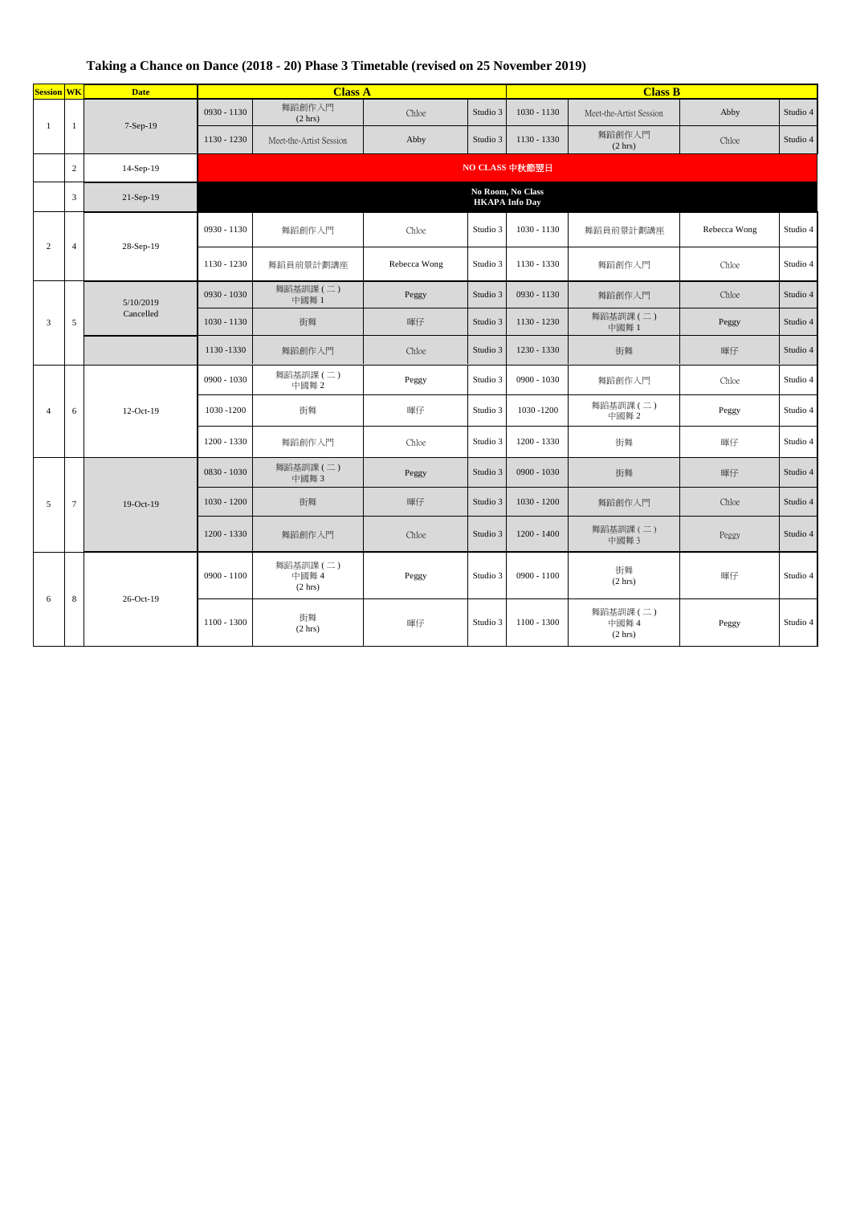## **Taking a Chance on Dance (2018 - 20) Phase 3 Timetable (revised on 25 November 2019)**

| <b>Session WK</b> |                | <b>Date</b>            | <b>Class A</b>                             |                              |              | <b>Class B</b> |               |                             |              |          |  |
|-------------------|----------------|------------------------|--------------------------------------------|------------------------------|--------------|----------------|---------------|-----------------------------|--------------|----------|--|
| -1                | 1              | 7-Sep-19               | 0930 - 1130                                | 舞蹈創作入門<br>(2 hr)             | Chloe        | Studio 3       | $1030 - 1130$ | Meet-the-Artist Session     | Abby         | Studio 4 |  |
|                   |                |                        | 1130 - 1230                                | Meet-the-Artist Session      | Abby         | Studio 3       | 1130 - 1330   | 舞蹈創作入門<br>(2 hr)            | Chloe        | Studio 4 |  |
|                   | $\overline{2}$ | 14-Sep-19              | NO CLASS 中秋節翌日                             |                              |              |                |               |                             |              |          |  |
|                   | $\overline{3}$ | 21-Sep-19              | No Room, No Class<br><b>HKAPA</b> Info Day |                              |              |                |               |                             |              |          |  |
| $\overline{2}$    | $\overline{4}$ | 28-Sep-19              | 0930 - 1130                                | 舞蹈創作入門                       | Chloe        | Studio 3       | 1030 - 1130   | 舞蹈員前景計劃講座                   | Rebecca Wong | Studio 4 |  |
|                   |                |                        | 1130 - 1230                                | 舞蹈員前景計劃講座                    | Rebecca Wong | Studio 3       | 1130 - 1330   | 舞蹈創作入門                      | Chloe        | Studio 4 |  |
| $\overline{3}$    |                | 5/10/2019<br>Cancelled | 0930 - 1030                                | 舞蹈基訓課(二)<br>中國舞 1            | Peggy        | Studio 3       | 0930 - 1130   | 舞蹈創作入門                      | Chloe        | Studio 4 |  |
|                   | 5              |                        | $1030 - 1130$                              | 街舞                           | 暉仔           | Studio 3       | 1130 - 1230   | 舞蹈基訓課 (二)<br>中國舞 1          | Peggy        | Studio 4 |  |
|                   |                |                        | 1130 - 1330                                | 舞蹈創作入門                       | Chloe        | Studio 3       | 1230 - 1330   | 街舞                          | 暉仔           | Studio 4 |  |
| $\overline{4}$    |                | 12-Oct-19              | $0900 - 1030$                              | 舞蹈基訓課(二)<br>中國舞2             | Peggy        | Studio 3       | 0900 - 1030   | 舞蹈創作入門                      | Chloe        | Studio 4 |  |
|                   | 6              |                        | 1030 - 1200                                | 街舞                           | 暉仔           | Studio 3       | 1030 -1200    | 舞蹈基訓課 (二)<br>中國舞 2          | Peggy        | Studio 4 |  |
|                   |                |                        | 1200 - 1330                                | 舞蹈創作入門                       | Chloe        | Studio 3       | 1200 - 1330   | 街舞                          | 暉仔           | Studio 4 |  |
| 5                 | $\overline{7}$ | 19-Oct-19              | $0830 - 1030$                              | 舞蹈基訓課(二)<br>中國舞3             | Peggy        | Studio 3       | $0900 - 1030$ | 街舞                          | 暉仔           | Studio 4 |  |
|                   |                |                        | $1030 - 1200$                              | 街舞                           | 暉仔           | Studio 3       | 1030 - 1200   | 舞蹈創作入門                      | Chloe        | Studio 4 |  |
|                   |                |                        | $1200 - 1330$                              | 舞蹈創作入門                       | Chloe        | Studio 3       | $1200 - 1400$ | 舞蹈基訓課(二)<br>中國舞3            | Peggy        | Studio 4 |  |
| 6                 | 8              | 26-Oct-19              | $0900 - 1100$                              | 舞蹈基訓課 (二)<br>中國舞 4<br>(2 hr) | Peggy        | Studio 3       | $0900 - 1100$ | 街舞<br>(2 hr)                | 暉仔           | Studio 4 |  |
|                   |                |                        | 1100 - 1300                                | 街舞<br>(2 hr)                 | 暉仔           | Studio 3       | $1100 - 1300$ | 舞蹈基訓課(二)<br>中國舞 4<br>(2 hr) | Peggy        | Studio 4 |  |